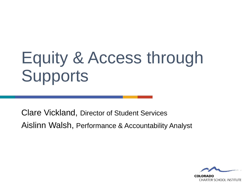# Equity & Access through **Supports**

Clare Vickland, Director of Student Services Aislinn Walsh, Performance & Accountability Analyst

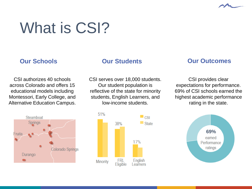

# What is CSI?

#### CSI authorizes 40 schools across Colorado and offers 15 educational models including Montessori, Early College, and Alternative Education Campus.

CSI serves over 18,000 students. Our student population is reflective of the state for minority students, English Learners, and low-income students.

#### **Our Schools Our Students Our Outcomes**

CSI provides clear expectations for performance. 69% of CSI schools earned the highest academic performance rating in the state.





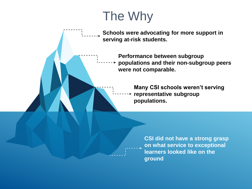## The Why

**Schools were advocating for more support in serving at-risk students.**

> **Performance between subgroup populations and their non-subgroup peers were not comparable.**

> > **Many CSI schools weren't serving representative subgroup populations.**

> > > **CSI did not have a strong grasp on what service to exceptional learners looked like on the ground**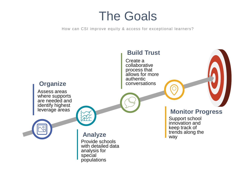### The Goals

How can CSI improve equity & access for exceptional learners?

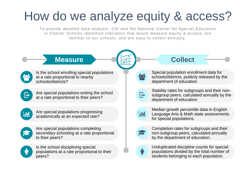## How do we analyze equity & access?

To provide detailed data analysis, CSI and the National Center for Special Education in Charter Schools identified indicators that would measure equity & access, are familiar to our schools, and are easy to collect annually.

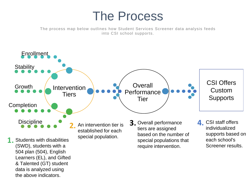### The Process

The process map below outlines how Student Services Screener data analysis feeds into CSI school supports.

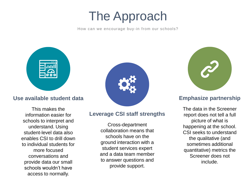### The Approach

How can we encourage buy-in from our schools?



#### **Use available student data**

This makes the information easier for schools to interpret and understand. Using student-level data also enables CSI to drill down to individual students for more focused conversations and provide data our small schools wouldn't have access to normally.



#### **Leverage CSI staff strengths**

Cross-department collaboration means that schools have on the ground interaction with a student services expert and a data team member to answer questions and provide support.



#### **Emphasize partnership**

The data in the Screener report does not tell a full picture of what is happening at the school. CSI seeks to understand the qualitative (and sometimes additional quantitative) metrics the Screener does not include.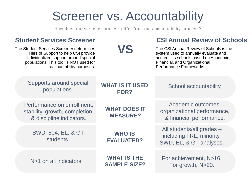### Screener vs. Accountability

How does the screener process differ from the accountability process?

| <b>Student Services Screener</b>                                                                                                                                                                |                                           | <b>CSI Annual Review of Schools</b>                                                                                                                                                          |  |
|-------------------------------------------------------------------------------------------------------------------------------------------------------------------------------------------------|-------------------------------------------|----------------------------------------------------------------------------------------------------------------------------------------------------------------------------------------------|--|
| The Student Services Screener determines<br>Tiers of Support to help CSI provide<br>individualized support around special<br>populations. This tool is NOT used for<br>accountability purposes. | VS                                        | The CSI Annual Review of Schools is the<br>system used to annually evaluate and<br>accredit its schools based on Academic,<br>Financial, and Organizational<br><b>Performance Frameworks</b> |  |
| Supports around special<br>populations.                                                                                                                                                         | <b>WHAT IS IT USED</b><br>FOR?            | School accountability.                                                                                                                                                                       |  |
| Performance on enrollment,<br>stability, growth, completion,<br>& discipline indicators.                                                                                                        | <b>WHAT DOES IT</b><br><b>MEASURE?</b>    | Academic outcomes,<br>organizational performance,<br>& financial performance.                                                                                                                |  |
| SWD, 504, EL, & GT<br>students.                                                                                                                                                                 | <b>WHO IS</b><br><b>EVALUATED?</b>        | All students/all grades -<br>including FRL, minority,<br>SWD, EL, & GT analyses.                                                                                                             |  |
| N>1 on all indicators.                                                                                                                                                                          | <b>WHAT IS THE</b><br><b>SAMPLE SIZE?</b> | For achievement, N>16.<br>For growth, N>20.                                                                                                                                                  |  |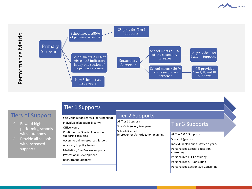





| <b>Tier 1 Supports</b> |  |  |
|------------------------|--|--|
|                        |  |  |

### Tiers of Support

- $\checkmark$  Reward highperforming schools with autonomy
- $\checkmark$  Provide all schools with increased supports

| Site Visits (upon renewal or as needed)                                                        | Tier 2 Supports                                                         |                                                                                                         |  |
|------------------------------------------------------------------------------------------------|-------------------------------------------------------------------------|---------------------------------------------------------------------------------------------------------|--|
| Individual plan audits (yearly)<br>Office Hours                                                | All Tier 1 Supports<br>Site Visits (every two years)<br>School directed | Tier 3 Supports                                                                                         |  |
| Continuum of Special Education<br>supports consulting<br>Access to online resources & tools    | improvement/prioritization planning                                     | All Tier 1 & 2 Supports<br>Site Visit (yearly)                                                          |  |
| Advocacy in policy issues<br>Mediation/Due Process supports<br><b>Professional Development</b> |                                                                         | Individual plan audits (twice a year)<br><b>Personalized Special Education</b><br>consulting            |  |
| <b>Recruitment Supports</b>                                                                    |                                                                         | Personalized ELL Consulting<br>Personalized GT Consulting<br><b>Personalized Section 504 Consulting</b> |  |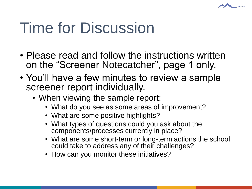

# Time for Discussion

- Please read and follow the instructions written on the "Screener Notecatcher", page 1 only.
- You'll have a few minutes to review a sample screener report individually.
	- When viewing the sample report:
		- What do you see as some areas of improvement?
		- What are some positive highlights?
		- What types of questions could you ask about the components/processes currently in place?
		- What are some short-term or long-term actions the school could take to address any of their challenges?
		- How can you monitor these initiatives?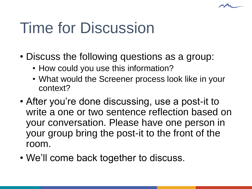

# Time for Discussion

- Discuss the following questions as a group:
	- How could you use this information?
	- What would the Screener process look like in your context?
- After you're done discussing, use a post-it to write a one or two sentence reflection based on your conversation. Please have one person in your group bring the post-it to the front of the room.
- We'll come back together to discuss.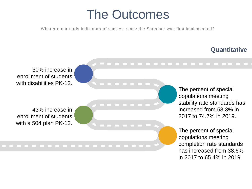### The Outcomes

What are our early indicators of success since the Screener was first implemented?

### **Quantitative**

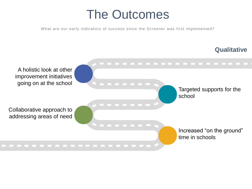### The Outcomes

What are our early indicators of success since the Screener was first implemented?

### **Qualitative**